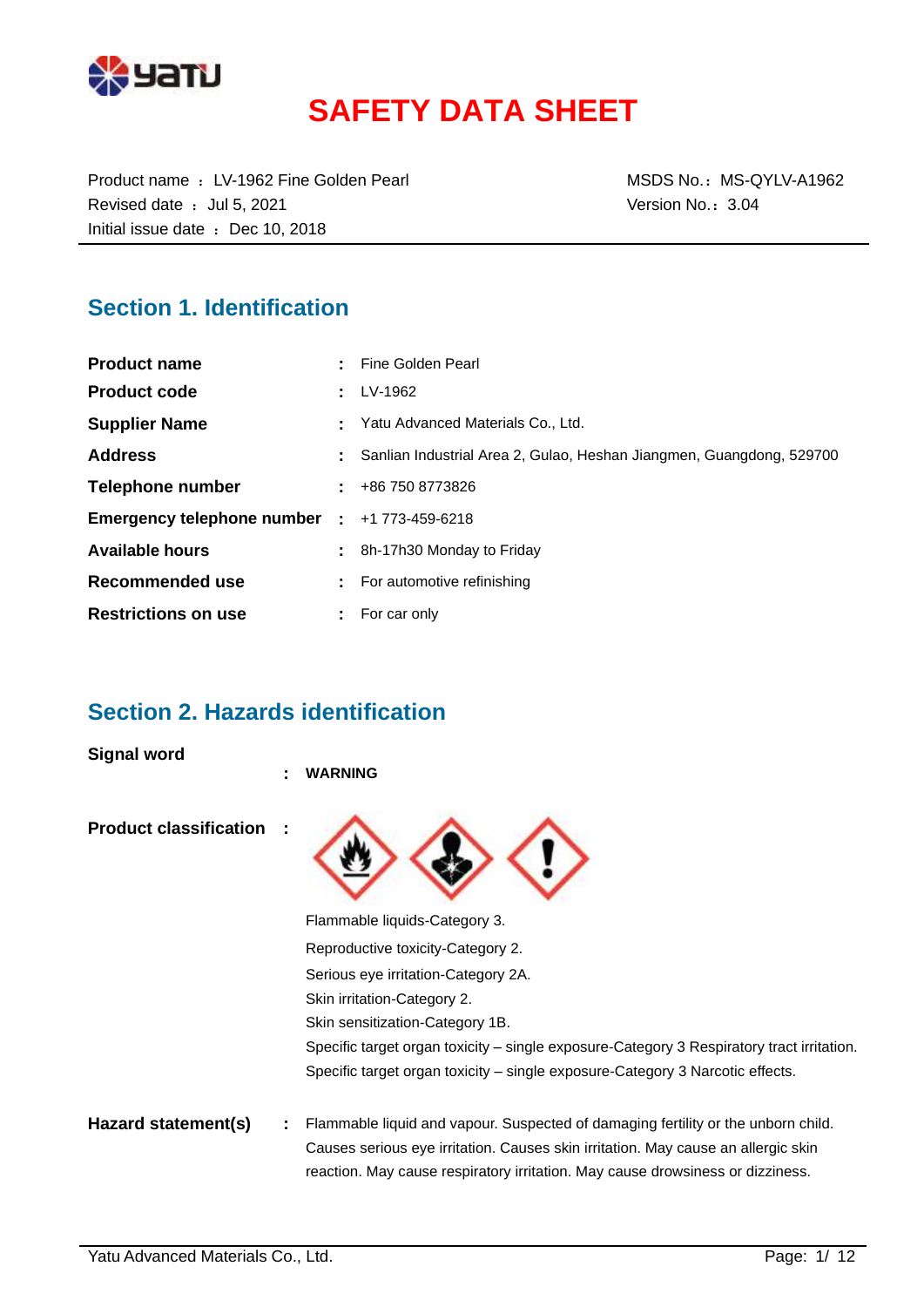

# **SAFETY DATA SHEET**

Product name : LV-1962 Fine Golden Pearl MSDS No.: MS-QYLV-A1962 Revised date : Jul 5, 2021 Case of the Version No.: 3.04 Initial issue date : Dec 10, 2018

### **Section 1. Identification**

| <b>Product name</b>                                 | Fine Golden Pearl                                                    |
|-----------------------------------------------------|----------------------------------------------------------------------|
| <b>Product code</b>                                 | LV-1962                                                              |
| <b>Supplier Name</b>                                | Yatu Advanced Materials Co., Ltd.                                    |
| <b>Address</b>                                      | Sanlian Industrial Area 2, Gulao, Heshan Jiangmen, Guangdong, 529700 |
| Telephone number                                    | $\pm 486$ 750 8773826                                                |
| <b>Emergency telephone number : +1 773-459-6218</b> |                                                                      |
| <b>Available hours</b>                              | 8h-17h30 Monday to Friday                                            |
| Recommended use                                     | For automotive refinishing                                           |
| <b>Restrictions on use</b>                          | $:$ For car only                                                     |

### **Section 2. Hazards identification**

**Signal word**

|                               | ٠ | <b>WARNING</b>                                                                                                                                                      |
|-------------------------------|---|---------------------------------------------------------------------------------------------------------------------------------------------------------------------|
| <b>Product classification</b> |   |                                                                                                                                                                     |
|                               |   | Flammable liquids-Category 3.                                                                                                                                       |
|                               |   | Reproductive toxicity-Category 2.                                                                                                                                   |
|                               |   | Serious eye irritation-Category 2A.                                                                                                                                 |
|                               |   | Skin irritation-Category 2.                                                                                                                                         |
|                               |   | Skin sensitization-Category 1B.                                                                                                                                     |
|                               |   | Specific target organ toxicity – single exposure-Category 3 Respiratory tract irritation.                                                                           |
|                               |   | Specific target organ toxicity – single exposure-Category 3 Narcotic effects.                                                                                       |
| Hazard statement(s)           |   | Flammable liquid and vapour. Suspected of damaging fertility or the unborn child.                                                                                   |
|                               |   | Causes serious eye irritation. Causes skin irritation. May cause an allergic skin<br>reaction. May cause respiratory irritation. May cause drowsiness or dizziness. |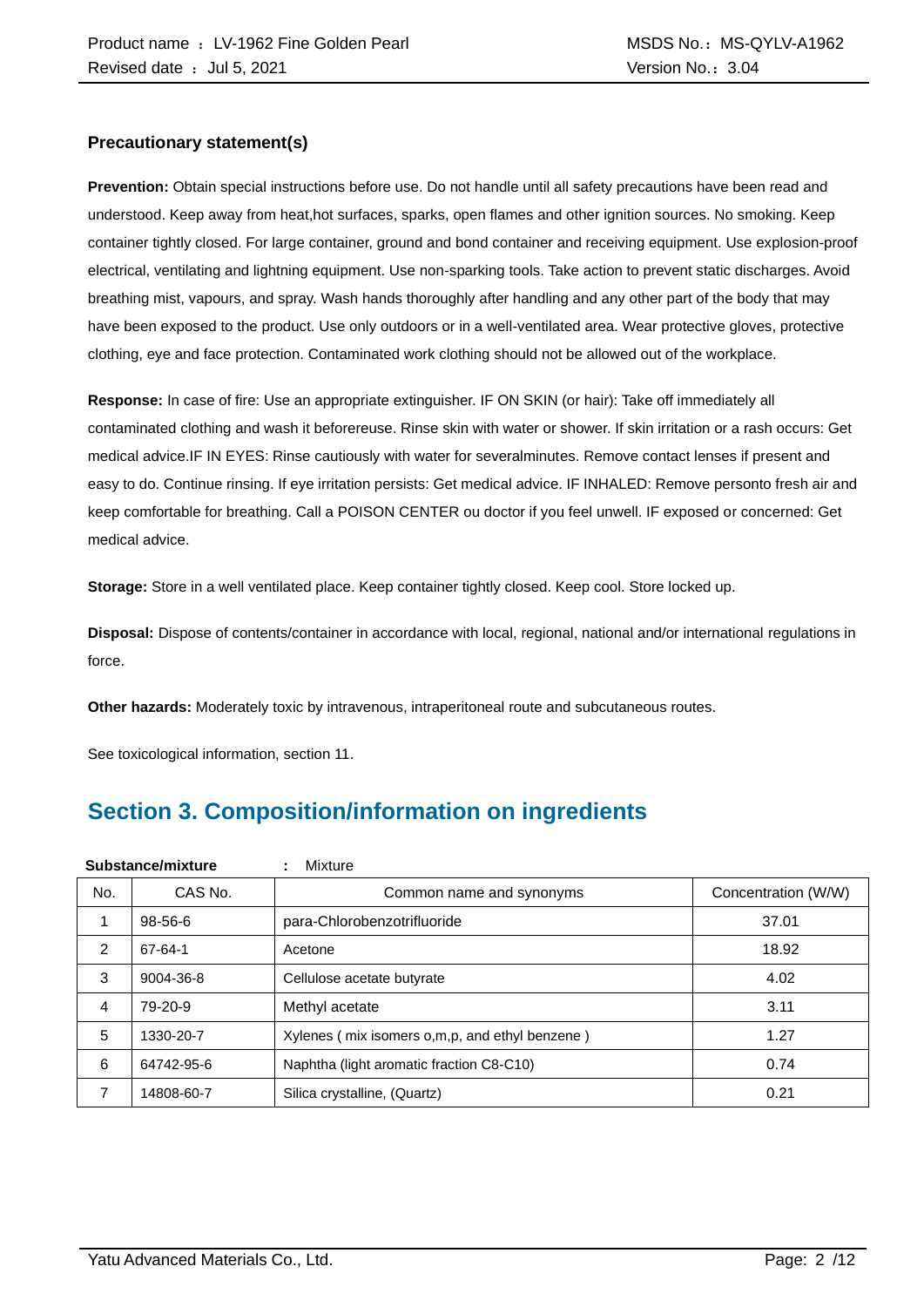#### **Precautionary statement(s)**

**Prevention:** Obtain special instructions before use. Do not handle until all safety precautions have been read and understood. Keep away from heat,hot surfaces, sparks, open flames and other ignition sources. No smoking. Keep container tightly closed. For large container, ground and bond container and receiving equipment. Use explosion-proof electrical, ventilating and lightning equipment. Use non-sparking tools. Take action to prevent static discharges. Avoid breathing mist, vapours, and spray. Wash hands thoroughly after handling and any other part of the body that may have been exposed to the product. Use only outdoors or in a well-ventilated area. Wear protective gloves, protective clothing, eye and face protection. Contaminated work clothing should not be allowed out of the workplace.

**Response:** In case of fire: Use an appropriate extinguisher. IF ON SKIN (or hair): Take off immediately all contaminated clothing and wash it beforereuse. Rinse skin with water or shower. If skin irritation or a rash occurs: Get medical advice.IF IN EYES: Rinse cautiously with water for severalminutes. Remove contact lenses if present and easy to do. Continue rinsing. If eye irritation persists: Get medical advice. IF INHALED: Remove personto fresh air and keep comfortable for breathing. Call a POISON CENTER ou doctor if you feel unwell. IF exposed or concerned: Get medical advice.

**Storage:** Store in a well ventilated place. Keep container tightly closed. Keep cool. Store locked up.

**Disposal:** Dispose of contents/container in accordance with local, regional, national and/or international regulations in force.

**Other hazards:** Moderately toxic by intravenous, intraperitoneal route and subcutaneous routes.

See toxicological information, section 11.

## **Section 3. Composition/information on ingredients**

|     | Substance/mixture | Mixture<br>÷                                   |                     |
|-----|-------------------|------------------------------------------------|---------------------|
| No. | CAS No.           | Common name and synonyms                       | Concentration (W/W) |
|     | $98 - 56 - 6$     | para-Chlorobenzotrifluoride                    | 37.01               |
| 2   | 67-64-1           | Acetone                                        | 18.92               |
| 3   | 9004-36-8         | Cellulose acetate butyrate                     | 4.02                |
| 4   | 79-20-9           | Methyl acetate                                 | 3.11                |
| 5   | 1330-20-7         | Xylenes (mix isomers o,m,p, and ethyl benzene) | 1.27                |
| 6   | 64742-95-6        | Naphtha (light aromatic fraction C8-C10)       | 0.74                |
| 7   | 14808-60-7        | Silica crystalline, (Quartz)                   | 0.21                |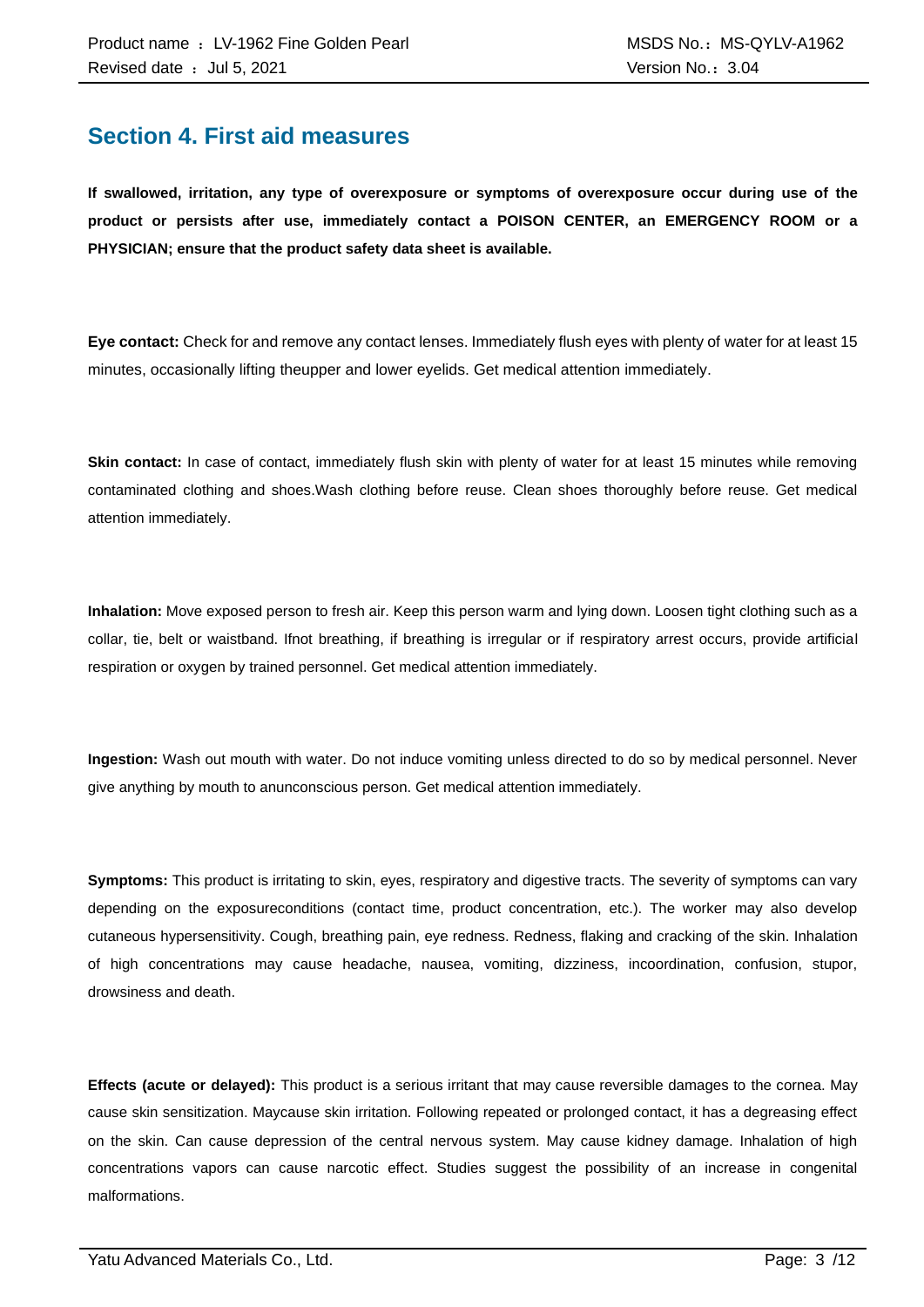### **Section 4. First aid measures**

**If swallowed, irritation, any type of overexposure or symptoms of overexposure occur during use of the product or persists after use, immediately contact a POISON CENTER, an EMERGENCY ROOM or a PHYSICIAN; ensure that the product safety data sheet is available.**

**Eye contact:** Check for and remove any contact lenses. Immediately flush eyes with plenty of water for at least 15 minutes, occasionally lifting theupper and lower eyelids. Get medical attention immediately.

**Skin contact:** In case of contact, immediately flush skin with plenty of water for at least 15 minutes while removing contaminated clothing and shoes.Wash clothing before reuse. Clean shoes thoroughly before reuse. Get medical attention immediately.

**Inhalation:** Move exposed person to fresh air. Keep this person warm and lying down. Loosen tight clothing such as a collar, tie, belt or waistband. Ifnot breathing, if breathing is irregular or if respiratory arrest occurs, provide artificial respiration or oxygen by trained personnel. Get medical attention immediately.

**Ingestion:** Wash out mouth with water. Do not induce vomiting unless directed to do so by medical personnel. Never give anything by mouth to anunconscious person. Get medical attention immediately.

**Symptoms:** This product is irritating to skin, eyes, respiratory and digestive tracts. The severity of symptoms can vary depending on the exposureconditions (contact time, product concentration, etc.). The worker may also develop cutaneous hypersensitivity. Cough, breathing pain, eye redness. Redness, flaking and cracking of the skin. Inhalation of high concentrations may cause headache, nausea, vomiting, dizziness, incoordination, confusion, stupor, drowsiness and death.

**Effects (acute or delayed):** This product is a serious irritant that may cause reversible damages to the cornea. May cause skin sensitization. Maycause skin irritation. Following repeated or prolonged contact, it has a degreasing effect on the skin. Can cause depression of the central nervous system. May cause kidney damage. Inhalation of high concentrations vapors can cause narcotic effect. Studies suggest the possibility of an increase in congenital malformations.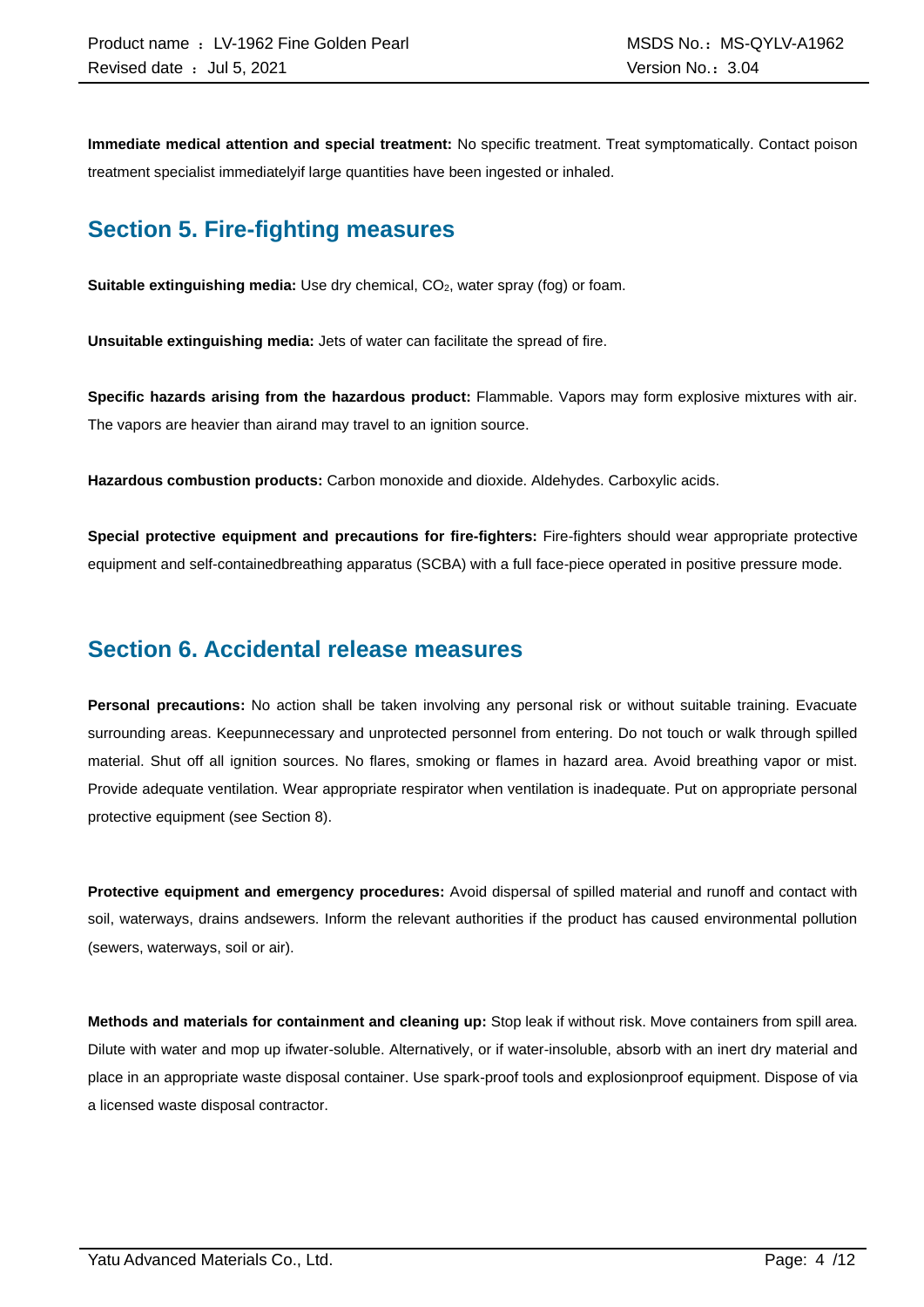**Immediate medical attention and special treatment:** No specific treatment. Treat symptomatically. Contact poison treatment specialist immediatelyif large quantities have been ingested or inhaled.

### **Section 5. Fire-fighting measures**

**Suitable extinguishing media:** Use dry chemical, CO<sub>2</sub>, water spray (fog) or foam.

**Unsuitable extinguishing media:** Jets of water can facilitate the spread of fire.

**Specific hazards arising from the hazardous product:** Flammable. Vapors may form explosive mixtures with air. The vapors are heavier than airand may travel to an ignition source.

**Hazardous combustion products:** Carbon monoxide and dioxide. Aldehydes. Carboxylic acids.

**Special protective equipment and precautions for fire-fighters:** Fire-fighters should wear appropriate protective equipment and self-containedbreathing apparatus (SCBA) with a full face-piece operated in positive pressure mode.

### **Section 6. Accidental release measures**

**Personal precautions:** No action shall be taken involving any personal risk or without suitable training. Evacuate surrounding areas. Keepunnecessary and unprotected personnel from entering. Do not touch or walk through spilled material. Shut off all ignition sources. No flares, smoking or flames in hazard area. Avoid breathing vapor or mist. Provide adequate ventilation. Wear appropriate respirator when ventilation is inadequate. Put on appropriate personal protective equipment (see Section 8).

**Protective equipment and emergency procedures:** Avoid dispersal of spilled material and runoff and contact with soil, waterways, drains andsewers. Inform the relevant authorities if the product has caused environmental pollution (sewers, waterways, soil or air).

**Methods and materials for containment and cleaning up:** Stop leak if without risk. Move containers from spill area. Dilute with water and mop up ifwater-soluble. Alternatively, or if water-insoluble, absorb with an inert dry material and place in an appropriate waste disposal container. Use spark-proof tools and explosionproof equipment. Dispose of via a licensed waste disposal contractor.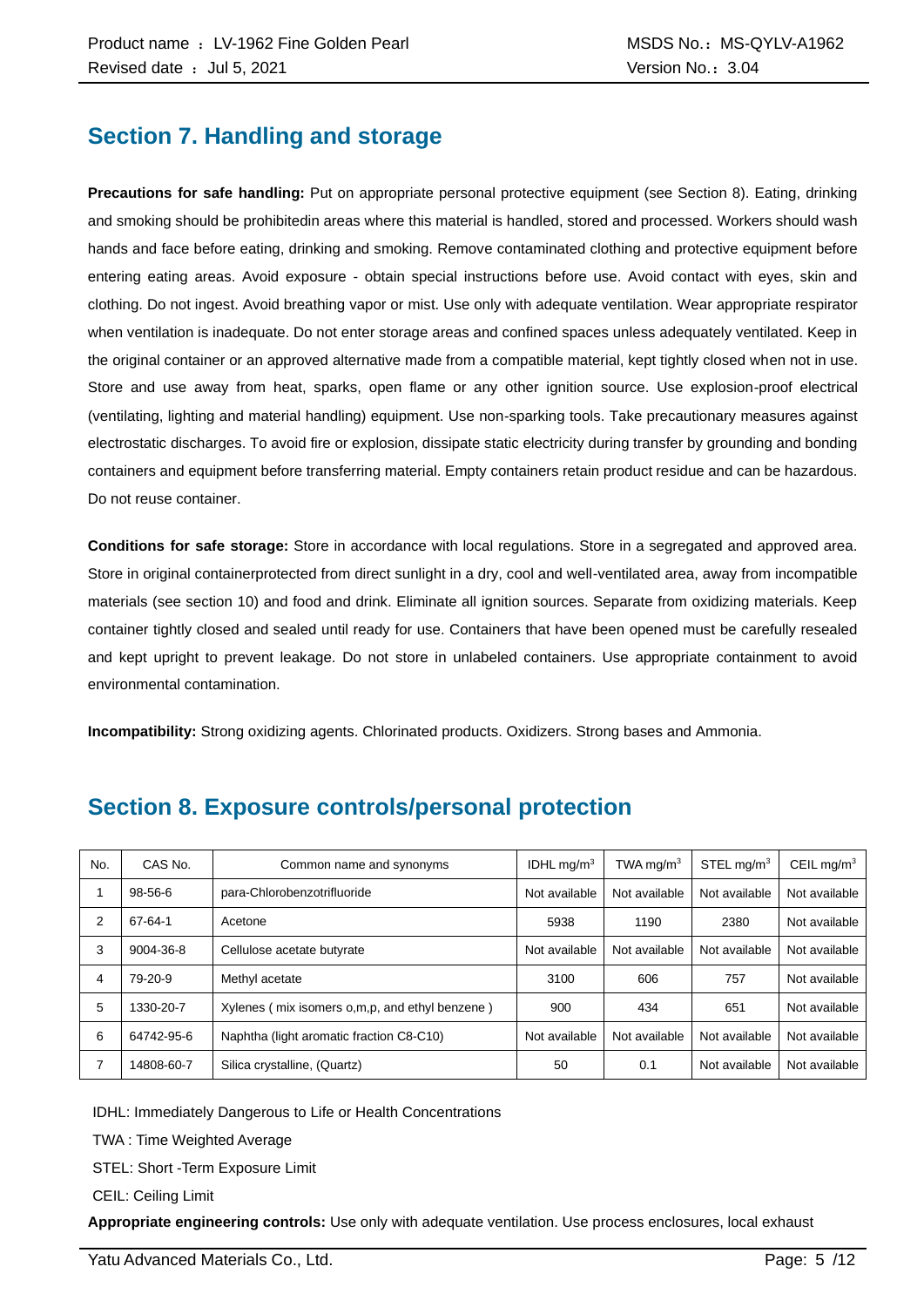### **Section 7. Handling and storage**

**Precautions for safe handling:** Put on appropriate personal protective equipment (see Section 8). Eating, drinking and smoking should be prohibitedin areas where this material is handled, stored and processed. Workers should wash hands and face before eating, drinking and smoking. Remove contaminated clothing and protective equipment before entering eating areas. Avoid exposure - obtain special instructions before use. Avoid contact with eyes, skin and clothing. Do not ingest. Avoid breathing vapor or mist. Use only with adequate ventilation. Wear appropriate respirator when ventilation is inadequate. Do not enter storage areas and confined spaces unless adequately ventilated. Keep in the original container or an approved alternative made from a compatible material, kept tightly closed when not in use. Store and use away from heat, sparks, open flame or any other ignition source. Use explosion-proof electrical (ventilating, lighting and material handling) equipment. Use non-sparking tools. Take precautionary measures against electrostatic discharges. To avoid fire or explosion, dissipate static electricity during transfer by grounding and bonding containers and equipment before transferring material. Empty containers retain product residue and can be hazardous. Do not reuse container.

**Conditions for safe storage:** Store in accordance with local regulations. Store in a segregated and approved area. Store in original containerprotected from direct sunlight in a dry, cool and well-ventilated area, away from incompatible materials (see section 10) and food and drink. Eliminate all ignition sources. Separate from oxidizing materials. Keep container tightly closed and sealed until ready for use. Containers that have been opened must be carefully resealed and kept upright to prevent leakage. Do not store in unlabeled containers. Use appropriate containment to avoid environmental contamination.

**Incompatibility:** Strong oxidizing agents. Chlorinated products. Oxidizers. Strong bases and Ammonia.

| No. | CAS No.    | Common name and synonyms                       | IDHL mg/m $3$ | TWA mg/m $3$  | $STEL$ ma/m <sup>3</sup> | CEIL mg/ $m3$ |
|-----|------------|------------------------------------------------|---------------|---------------|--------------------------|---------------|
|     | 98-56-6    | para-Chlorobenzotrifluoride                    | Not available | Not available | Not available            | Not available |
| 2   | 67-64-1    | Acetone                                        | 5938          | 1190          | 2380                     | Not available |
| 3   | 9004-36-8  | Cellulose acetate butyrate                     | Not available | Not available | Not available            | Not available |
| 4   | 79-20-9    | Methyl acetate                                 | 3100          | 606           | 757                      | Not available |
| 5   | 1330-20-7  | Xylenes (mix isomers o,m,p, and ethyl benzene) | 900           | 434           | 651                      | Not available |
| 6   | 64742-95-6 | Naphtha (light aromatic fraction C8-C10)       | Not available | Not available | Not available            | Not available |
| 7   | 14808-60-7 | Silica crystalline, (Quartz)                   | 50            | 0.1           | Not available            | Not available |

### **Section 8. Exposure controls/personal protection**

IDHL: Immediately Dangerous to Life or Health Concentrations

TWA : Time Weighted Average

STEL: Short -Term Exposure Limit

CEIL: Ceiling Limit

**Appropriate engineering controls:** Use only with adequate ventilation. Use process enclosures, local exhaust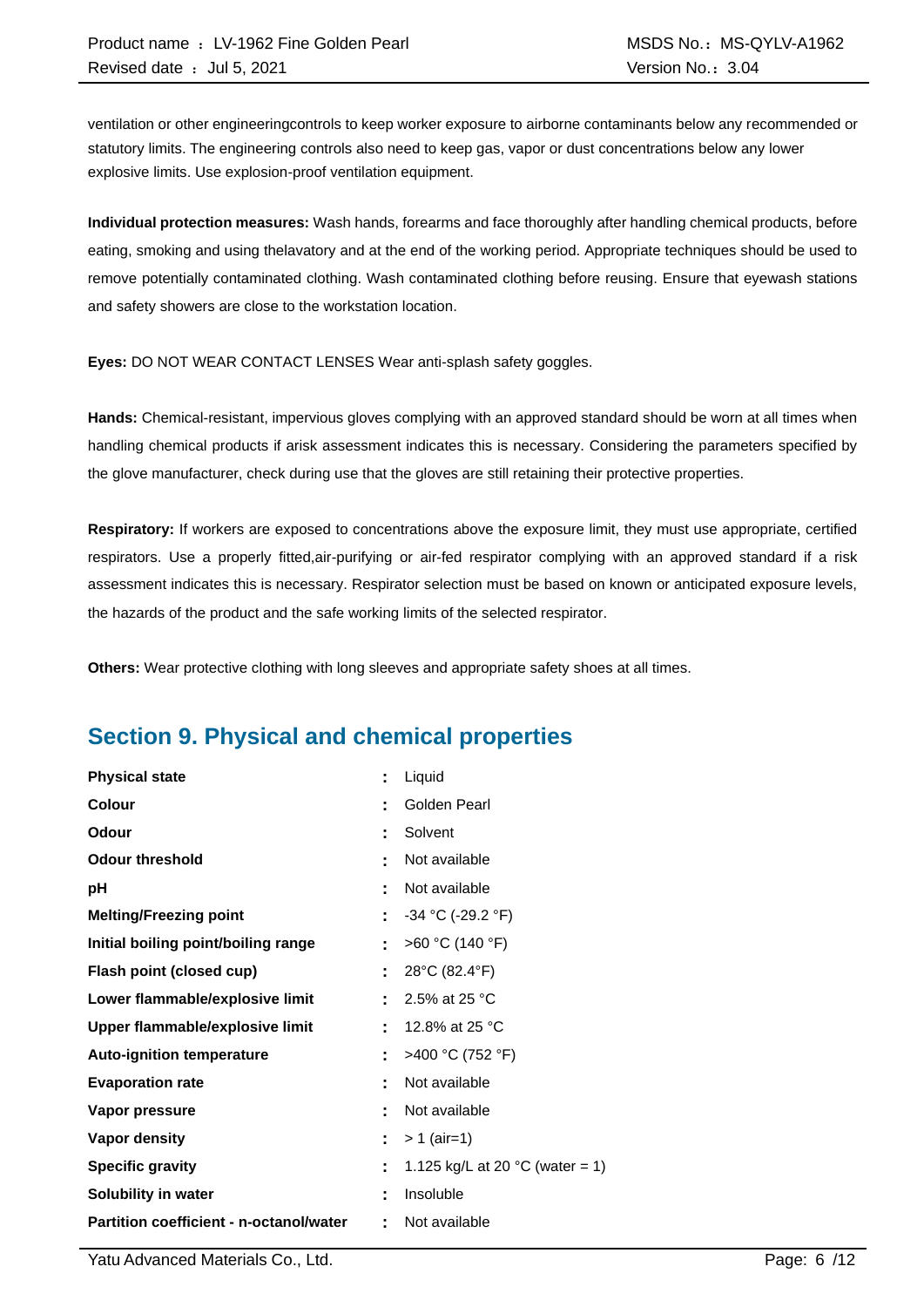ventilation or other engineeringcontrols to keep worker exposure to airborne contaminants below any recommended or statutory limits. The engineering controls also need to keep gas, vapor or dust concentrations below any lower explosive limits. Use explosion-proof ventilation equipment.

**Individual protection measures:** Wash hands, forearms and face thoroughly after handling chemical products, before eating, smoking and using thelavatory and at the end of the working period. Appropriate techniques should be used to remove potentially contaminated clothing. Wash contaminated clothing before reusing. Ensure that eyewash stations and safety showers are close to the workstation location.

**Eyes:** DO NOT WEAR CONTACT LENSES Wear anti-splash safety goggles.

**Hands:** Chemical-resistant, impervious gloves complying with an approved standard should be worn at all times when handling chemical products if arisk assessment indicates this is necessary. Considering the parameters specified by the glove manufacturer, check during use that the gloves are still retaining their protective properties.

**Respiratory:** If workers are exposed to concentrations above the exposure limit, they must use appropriate, certified respirators. Use a properly fitted,air-purifying or air-fed respirator complying with an approved standard if a risk assessment indicates this is necessary. Respirator selection must be based on known or anticipated exposure levels, the hazards of the product and the safe working limits of the selected respirator.

**Others:** Wear protective clothing with long sleeves and appropriate safety shoes at all times.

### **Section 9. Physical and chemical properties**

| <b>Physical state</b>                          |    | Liquid                                    |
|------------------------------------------------|----|-------------------------------------------|
| Colour                                         | t  | Golden Pearl                              |
| <b>Odour</b>                                   | t  | Solvent                                   |
| <b>Odour threshold</b>                         | ٠  | Not available                             |
| рH                                             | t  | Not available                             |
| <b>Melting/Freezing point</b>                  | ÷  | $-34$ °C (-29.2 °F)                       |
| Initial boiling point/boiling range            | ÷  | >60 °C (140 °F)                           |
| Flash point (closed cup)                       | ÷  | 28°C (82.4°F)                             |
| Lower flammable/explosive limit                |    | 2.5% at 25 °C                             |
| Upper flammable/explosive limit                | ۰  | 12.8% at 25 °C                            |
| <b>Auto-ignition temperature</b>               | Ē. | >400 °C (752 °F)                          |
| <b>Evaporation rate</b>                        | t  | Not available                             |
| Vapor pressure                                 |    | Not available                             |
| <b>Vapor density</b>                           | ÷  | $> 1$ (air=1)                             |
| <b>Specific gravity</b>                        | t  | 1.125 kg/L at 20 $^{\circ}$ C (water = 1) |
| Solubility in water                            | t  | Insoluble                                 |
| <b>Partition coefficient - n-octanol/water</b> | t  | Not available                             |

Yatu Advanced Materials Co., Ltd. Page: 6 /12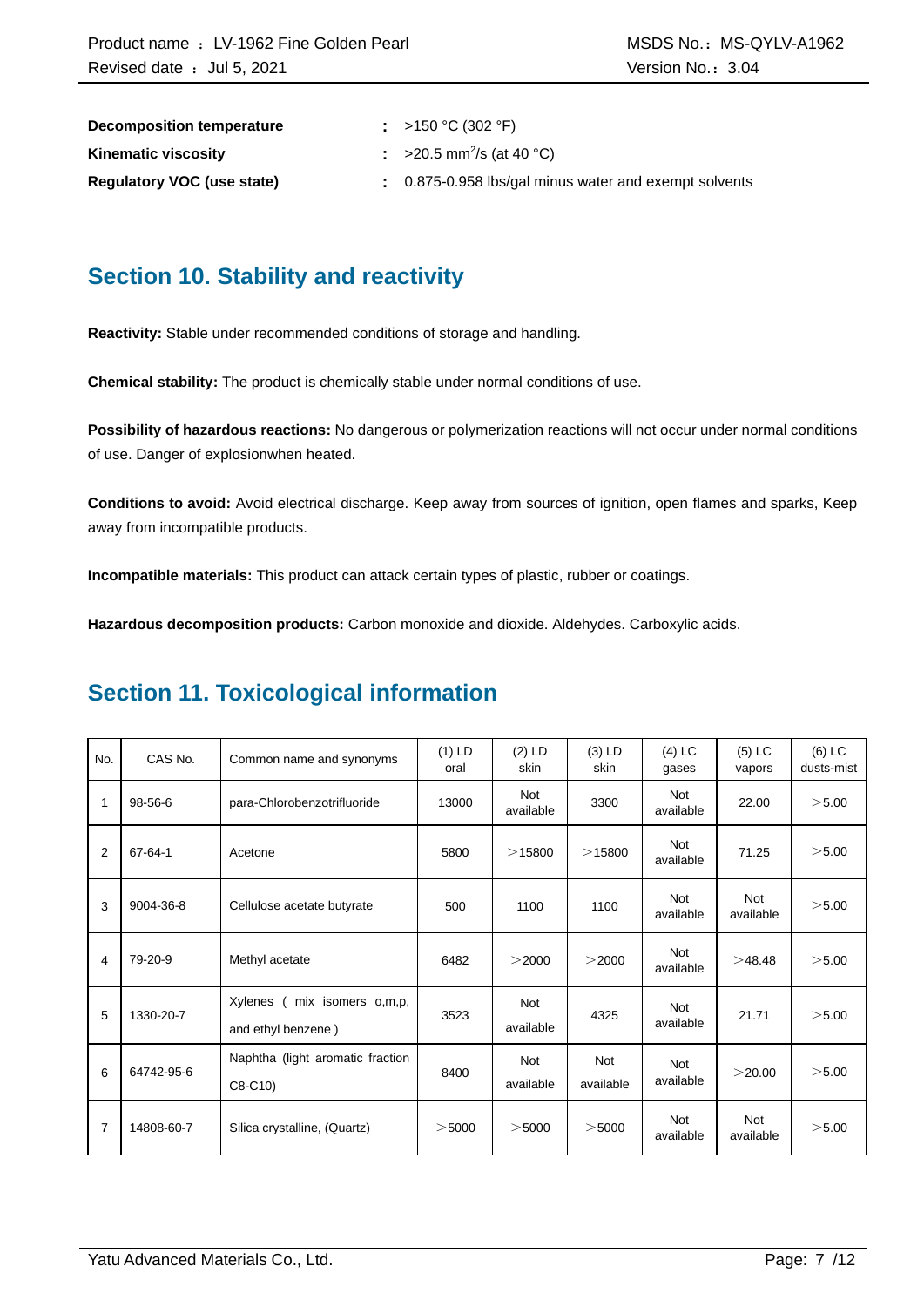| Decomposition temperature         | : >150 °C (302 °F)                                    |
|-----------------------------------|-------------------------------------------------------|
| <b>Kinematic viscosity</b>        | : >20.5 mm <sup>2</sup> /s (at 40 °C)                 |
| <b>Requiatory VOC (use state)</b> | . 0.875-0.958 lbs/gal minus water and exempt solvents |

### **Section 10. Stability and reactivity**

**Reactivity:** Stable under recommended conditions of storage and handling.

**Chemical stability:** The product is chemically stable under normal conditions of use.

**Possibility of hazardous reactions:** No dangerous or polymerization reactions will not occur under normal conditions of use. Danger of explosionwhen heated.

**Conditions to avoid:** Avoid electrical discharge. Keep away from sources of ignition, open flames and sparks, Keep away from incompatible products.

**Incompatible materials:** This product can attack certain types of plastic, rubber or coatings.

**Hazardous decomposition products:** Carbon monoxide and dioxide. Aldehydes. Carboxylic acids.

### **Section 11. Toxicological information**

| No.            | CAS No.    | Common name and synonyms                              | $(1)$ LD<br>oral | $(2)$ LD<br>skin        | $(3)$ LD<br>skin | $(4)$ LC<br>gases       | $(5)$ LC<br>vapors      | $(6)$ LC<br>dusts-mist |
|----------------|------------|-------------------------------------------------------|------------------|-------------------------|------------------|-------------------------|-------------------------|------------------------|
| 1              | 98-56-6    | para-Chlorobenzotrifluoride                           | 13000            | <b>Not</b><br>available | 3300             | Not<br>available        | 22.00                   | >5.00                  |
| 2              | 67-64-1    | Acetone                                               | 5800             | >15800                  | >15800           | <b>Not</b><br>available | 71.25                   | >5.00                  |
| 3              | 9004-36-8  | Cellulose acetate butyrate                            | 500              | 1100                    | 1100             | <b>Not</b><br>available | <b>Not</b><br>available | >5.00                  |
| 4              | 79-20-9    | Methyl acetate                                        | 6482             | >2000                   | >2000            | <b>Not</b><br>available | >48.48                  | >5.00                  |
| 5              | 1330-20-7  | Xylenes<br>( mix isomers o,m,p,<br>and ethyl benzene) | 3523             | Not<br>available        | 4325             | <b>Not</b><br>available | 21.71                   | >5.00                  |
| 6              | 64742-95-6 | Naphtha (light aromatic fraction<br>$C8-C10$          | 8400             | <b>Not</b><br>available | Not<br>available | <b>Not</b><br>available | >20.00                  | >5.00                  |
| $\overline{7}$ | 14808-60-7 | Silica crystalline, (Quartz)                          | $>$ 5000         | $>$ 5000                | $>$ 5000         | <b>Not</b><br>available | Not<br>available        | >5.00                  |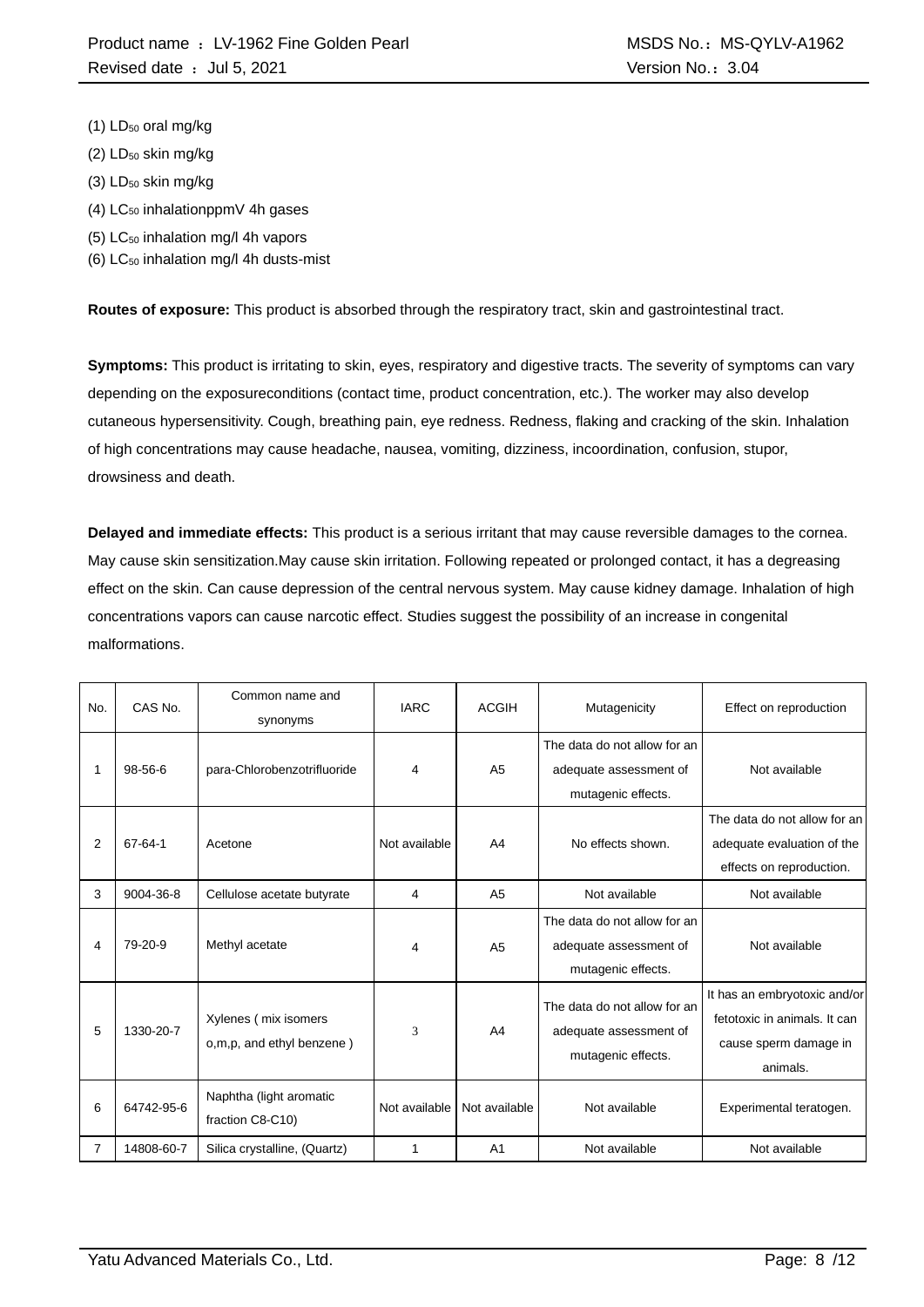- $(1)$  LD<sub>50</sub> oral mg/kg
- $(2)$  LD<sub>50</sub> skin mg/kg
- (3) LD<sub>50</sub> skin mg/kg
- $(4)$  LC<sub>50</sub> inhalationppmV 4h gases
- (5) LC<sup>50</sup> inhalation mg/l 4h vapors
- (6)  $LC_{50}$  inhalation mg/l 4h dusts-mist

**Routes of exposure:** This product is absorbed through the respiratory tract, skin and gastrointestinal tract.

**Symptoms:** This product is irritating to skin, eyes, respiratory and digestive tracts. The severity of symptoms can vary depending on the exposureconditions (contact time, product concentration, etc.). The worker may also develop cutaneous hypersensitivity. Cough, breathing pain, eye redness. Redness, flaking and cracking of the skin. Inhalation of high concentrations may cause headache, nausea, vomiting, dizziness, incoordination, confusion, stupor, drowsiness and death.

**Delayed and immediate effects:** This product is a serious irritant that may cause reversible damages to the cornea. May cause skin sensitization.May cause skin irritation. Following repeated or prolonged contact, it has a degreasing effect on the skin. Can cause depression of the central nervous system. May cause kidney damage. Inhalation of high concentrations vapors can cause narcotic effect. Studies suggest the possibility of an increase in congenital malformations.

| No. | CAS No.    | Common name and<br>synonyms                       | <b>IARC</b>   | <b>ACGIH</b>   | Mutagenicity                                                                 | Effect on reproduction                                                                            |
|-----|------------|---------------------------------------------------|---------------|----------------|------------------------------------------------------------------------------|---------------------------------------------------------------------------------------------------|
|     | 98-56-6    | para-Chlorobenzotrifluoride                       | 4             | A <sub>5</sub> | The data do not allow for an<br>adequate assessment of<br>mutagenic effects. | Not available                                                                                     |
| 2   | 67-64-1    | Acetone                                           | Not available | A <sub>4</sub> | No effects shown.                                                            | The data do not allow for an<br>adequate evaluation of the<br>effects on reproduction.            |
| 3   | 9004-36-8  | Cellulose acetate butyrate                        | 4             | A <sub>5</sub> | Not available                                                                | Not available                                                                                     |
| 4   | 79-20-9    | Methyl acetate                                    | 4             | A <sub>5</sub> | The data do not allow for an<br>adequate assessment of<br>mutagenic effects. | Not available                                                                                     |
| 5   | 1330-20-7  | Xylenes (mix isomers<br>o,m,p, and ethyl benzene) | 3             | A <sub>4</sub> | The data do not allow for an<br>adequate assessment of<br>mutagenic effects. | It has an embryotoxic and/or<br>fetotoxic in animals. It can<br>cause sperm damage in<br>animals. |
| 6   | 64742-95-6 | Naphtha (light aromatic<br>fraction C8-C10)       | Not available | Not available  | Not available                                                                | Experimental teratogen.                                                                           |
| 7   | 14808-60-7 | Silica crystalline, (Quartz)                      | 1             | A <sub>1</sub> | Not available                                                                | Not available                                                                                     |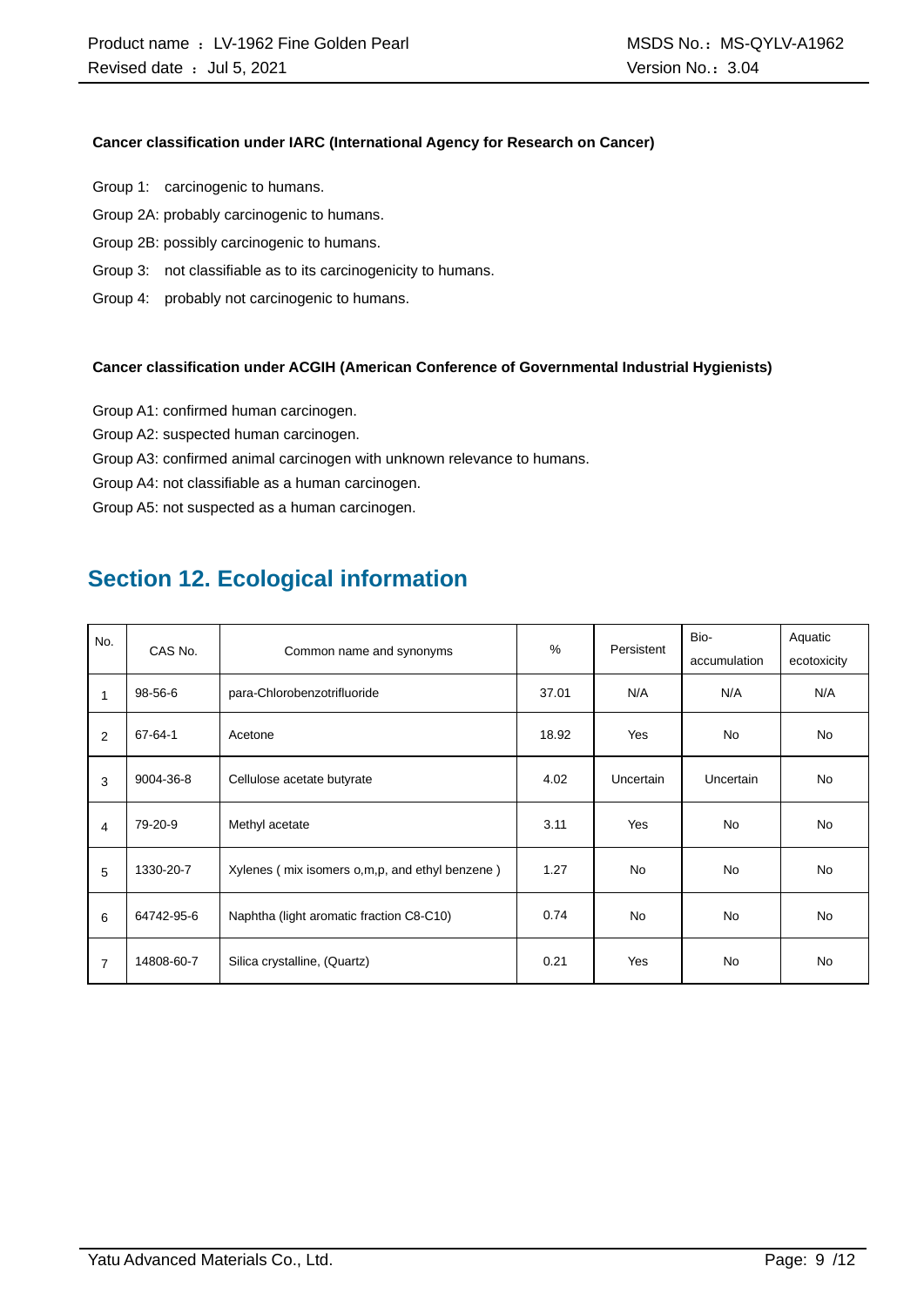#### **Cancer classification under IARC (International Agency for Research on Cancer)**

- Group 1: carcinogenic to humans.
- Group 2A: probably carcinogenic to humans.
- Group 2B: possibly carcinogenic to humans.
- Group 3: not classifiable as to its carcinogenicity to humans.
- Group 4: probably not carcinogenic to humans.

#### **Cancer classification under ACGIH (American Conference of Governmental Industrial Hygienists)**

- Group A1: confirmed human carcinogen.
- Group A2: suspected human carcinogen.
- Group A3: confirmed animal carcinogen with unknown relevance to humans.
- Group A4: not classifiable as a human carcinogen.

Group A5: not suspected as a human carcinogen.

### **Section 12. Ecological information**

| No.<br>CAS No. |               | Common name and synonyms                         | $\%$  | Persistent | Bio-         | Aquatic     |
|----------------|---------------|--------------------------------------------------|-------|------------|--------------|-------------|
|                |               |                                                  |       |            | accumulation | ecotoxicity |
| $\mathbf{1}$   | 98-56-6       | para-Chlorobenzotrifluoride                      | 37.01 | N/A        | N/A          | N/A         |
| 2              | $67 - 64 - 1$ | Acetone                                          | 18.92 | Yes        | <b>No</b>    | <b>No</b>   |
| 3              | 9004-36-8     | Cellulose acetate butyrate                       | 4.02  | Uncertain  | Uncertain    | <b>No</b>   |
| 4              | 79-20-9       | Methyl acetate                                   | 3.11  | Yes        | <b>No</b>    | <b>No</b>   |
| 5              | 1330-20-7     | Xylenes (mix isomers o, m, p, and ethyl benzene) | 1.27  | <b>No</b>  | <b>No</b>    | <b>No</b>   |
| 6              | 64742-95-6    | Naphtha (light aromatic fraction C8-C10)         | 0.74  | <b>No</b>  | <b>No</b>    | <b>No</b>   |
| $\overline{7}$ | 14808-60-7    | Silica crystalline, (Quartz)                     | 0.21  | Yes        | <b>No</b>    | <b>No</b>   |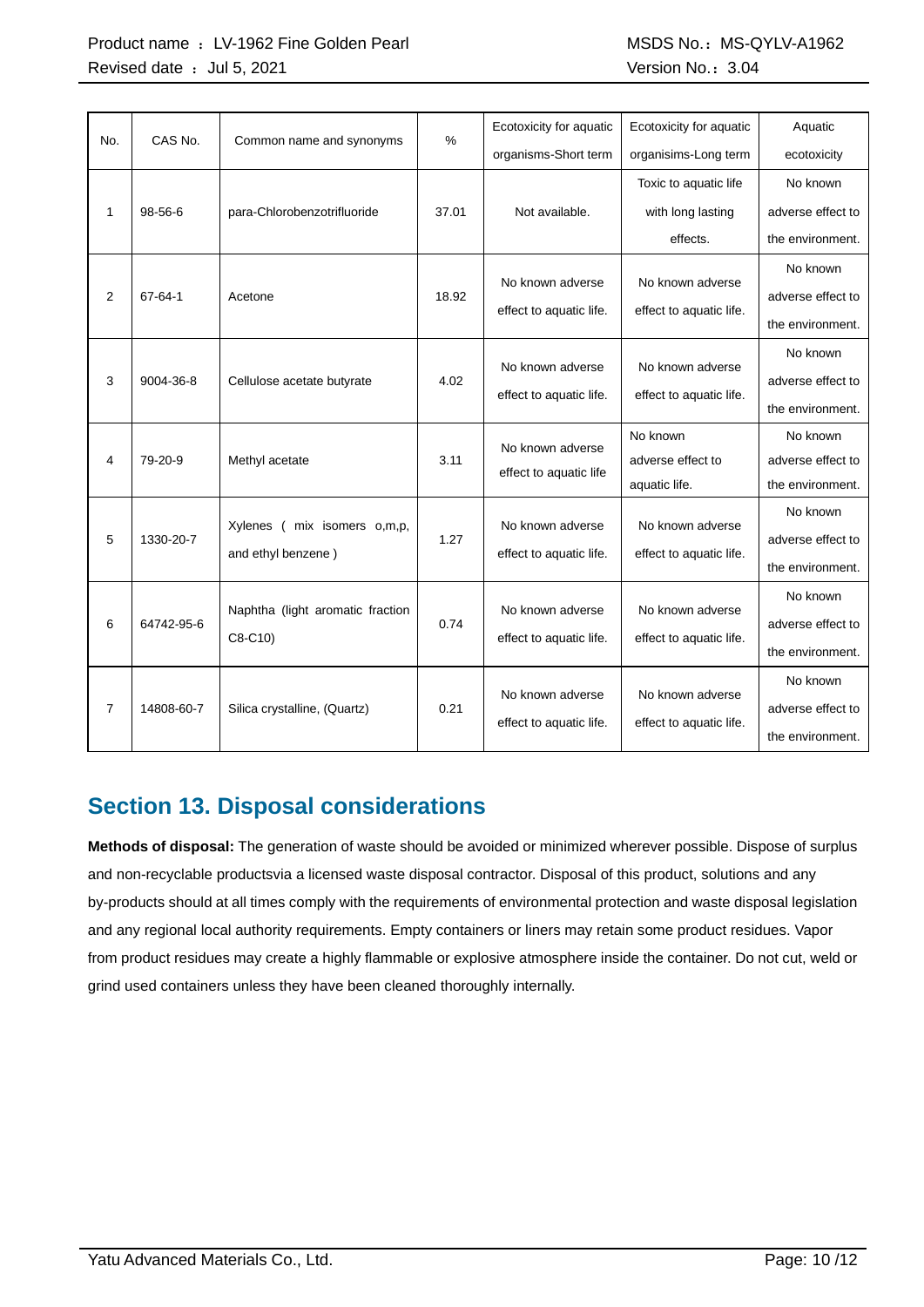#### Product name : LV-1962 Fine Golden Pearl MSDS No.: MS-QYLV-A1962 Revised date : Jul 5, 2021 Case of the Contract of the Version No.: 3.04

| No. | CAS No.       | Common name and synonyms         | %     | Ecotoxicity for aquatic | Ecotoxicity for aquatic | Aquatic           |
|-----|---------------|----------------------------------|-------|-------------------------|-------------------------|-------------------|
|     |               |                                  |       | organisms-Short term    | organisims-Long term    | ecotoxicity       |
|     |               |                                  |       |                         | Toxic to aquatic life   | No known          |
| 1   | $98 - 56 - 6$ | para-Chlorobenzotrifluoride      | 37.01 | Not available.          | with long lasting       | adverse effect to |
|     |               |                                  |       |                         | effects.                | the environment.  |
|     |               |                                  |       | No known adverse        | No known adverse        | No known          |
| 2   | 67-64-1       | Acetone                          | 18.92 |                         |                         | adverse effect to |
|     |               |                                  |       | effect to aquatic life. | effect to aquatic life. | the environment.  |
|     |               |                                  |       |                         |                         | No known          |
| 3   | 9004-36-8     | Cellulose acetate butyrate       | 4.02  | No known adverse        | No known adverse        | adverse effect to |
|     |               |                                  |       | effect to aquatic life. | effect to aquatic life. | the environment.  |
|     |               |                                  |       | No known adverse        | No known                | No known          |
| 4   | 79-20-9       | Methyl acetate                   | 3.11  | effect to aquatic life  | adverse effect to       | adverse effect to |
|     |               |                                  |       |                         | aquatic life.           | the environment.  |
|     |               | mix isomers o,m,p,<br>Xylenes (  |       | No known adverse        | No known adverse        | No known          |
| 5   | 1330-20-7     | and ethyl benzene)               | 1.27  | effect to aquatic life. | effect to aquatic life. | adverse effect to |
|     |               |                                  |       |                         |                         | the environment.  |
|     |               |                                  |       | No known adverse        | No known adverse        | No known          |
| 6   | 64742-95-6    | Naphtha (light aromatic fraction | 0.74  |                         |                         | adverse effect to |
|     |               | C8-C10)                          |       | effect to aquatic life. | effect to aquatic life. | the environment.  |
|     |               |                                  |       | No known adverse        | No known adverse        | No known          |
| 7   | 14808-60-7    | Silica crystalline, (Quartz)     | 0.21  |                         |                         | adverse effect to |
|     |               |                                  |       | effect to aquatic life. | effect to aquatic life. | the environment.  |

### **Section 13. Disposal considerations**

**Methods of disposal:** The generation of waste should be avoided or minimized wherever possible. Dispose of surplus and non-recyclable productsvia a licensed waste disposal contractor. Disposal of this product, solutions and any by-products should at all times comply with the requirements of environmental protection and waste disposal legislation and any regional local authority requirements. Empty containers or liners may retain some product residues. Vapor from product residues may create a highly flammable or explosive atmosphere inside the container. Do not cut, weld or grind used containers unless they have been cleaned thoroughly internally.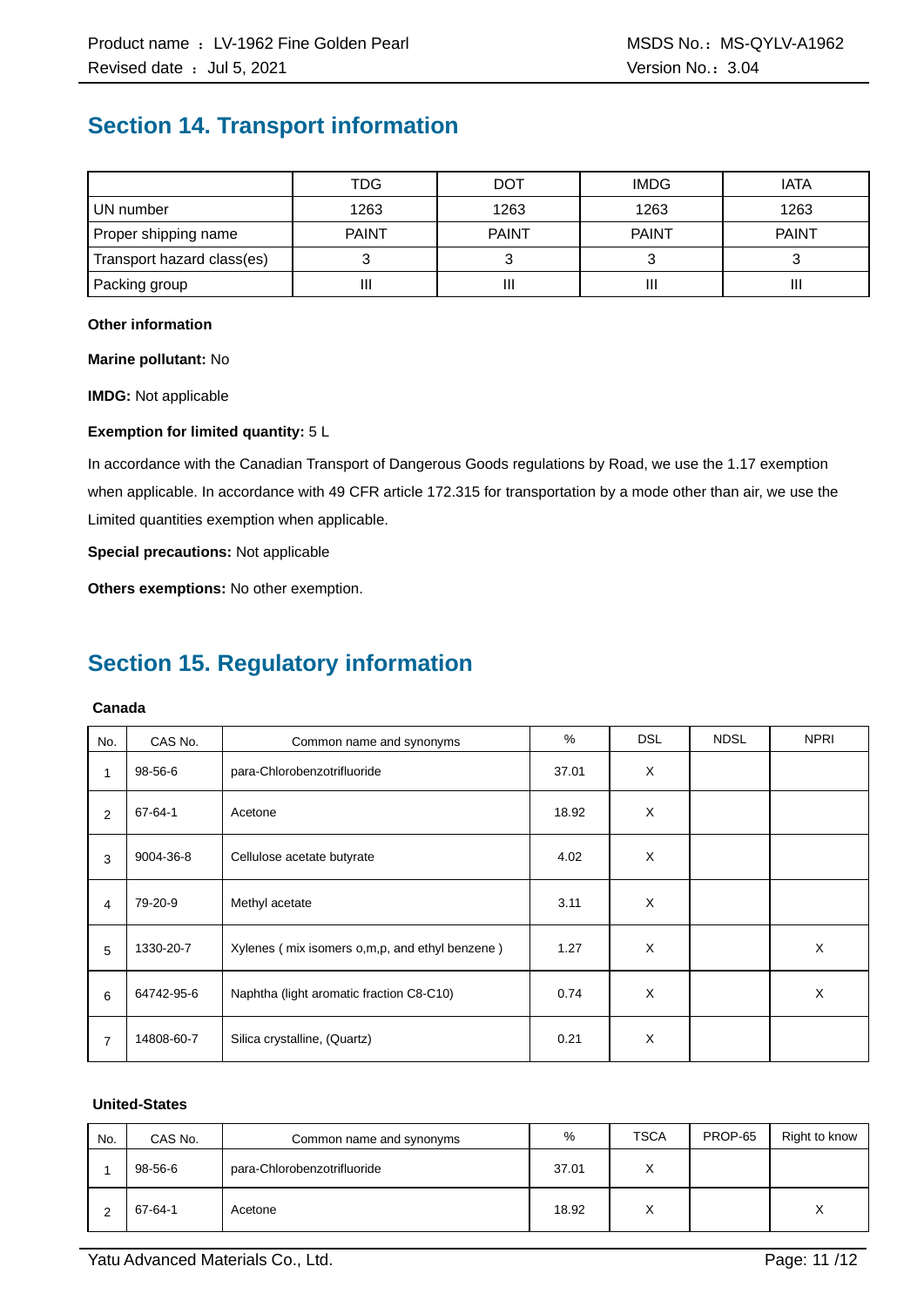### **Section 14. Transport information**

|                            | TDG          | DOT          | <b>IMDG</b>  | <b>IATA</b>  |
|----------------------------|--------------|--------------|--------------|--------------|
| UN number                  | 1263         | 1263         | 1263         | 1263         |
| Proper shipping name       | <b>PAINT</b> | <b>PAINT</b> | <b>PAINT</b> | <b>PAINT</b> |
| Transport hazard class(es) |              |              |              |              |
| Packing group              | II           | Ш            |              | Ш            |

#### **Other information**

**Marine pollutant:** No

**IMDG:** Not applicable

#### **Exemption for limited quantity:** 5 L

In accordance with the Canadian Transport of Dangerous Goods regulations by Road, we use the 1.17 exemption when applicable. In accordance with 49 CFR article 172.315 for transportation by a mode other than air, we use the Limited quantities exemption when applicable.

**Special precautions:** Not applicable

**Others exemptions:** No other exemption.

## **Section 15. Regulatory information**

#### **Canada**

| No.            | CAS No.    | Common name and synonyms                       | %     | <b>DSL</b> | <b>NDSL</b> | <b>NPRI</b> |
|----------------|------------|------------------------------------------------|-------|------------|-------------|-------------|
| 1              | 98-56-6    | para-Chlorobenzotrifluoride                    | 37.01 | X          |             |             |
| 2              | 67-64-1    | Acetone                                        | 18.92 | X          |             |             |
| 3              | 9004-36-8  | Cellulose acetate butyrate                     | 4.02  | X          |             |             |
| 4              | 79-20-9    | Methyl acetate                                 | 3.11  | X          |             |             |
| 5              | 1330-20-7  | Xylenes (mix isomers o,m,p, and ethyl benzene) | 1.27  | X          |             | X           |
| 6              | 64742-95-6 | Naphtha (light aromatic fraction C8-C10)       | 0.74  | X          |             | X           |
| $\overline{7}$ | 14808-60-7 | Silica crystalline, (Quartz)                   | 0.21  | X          |             |             |

#### **United-States**

| No. | CAS No. | Common name and synonyms    | %     | <b>TSCA</b>  | PROP-65 | Right to know    |
|-----|---------|-----------------------------|-------|--------------|---------|------------------|
|     | 98-56-6 | para-Chlorobenzotrifluoride | 37.01 | $\checkmark$ |         |                  |
|     | 67-64-1 | Acetone                     | 18.92 | $\checkmark$ |         | $\check{ }$<br>⋏ |